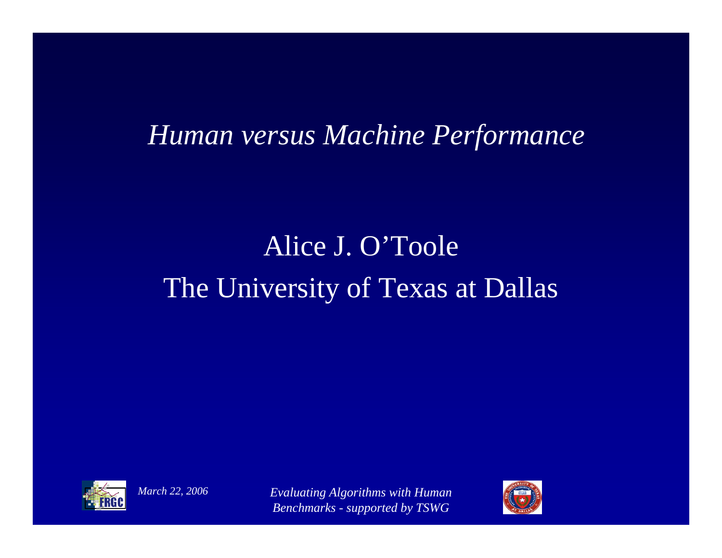#### *Human versus Machine Performance*

### Alice J. O'TooleThe University of Texas at Dallas



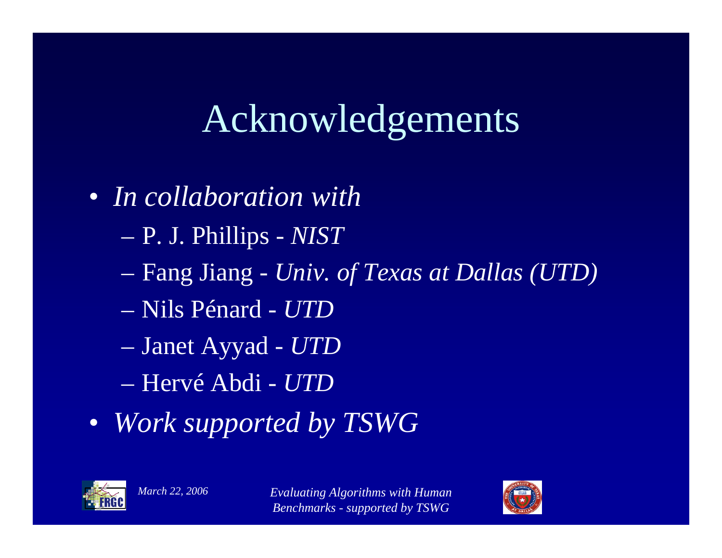### Acknowledgements

- *In collaboration with*
	- P. J. Phillips *NIST*
	- Fang Jiang *Univ. of Texas at Dallas (UTD)*
	- Nils Pénard *UTD*
	- $\mathcal{L}_{\mathcal{A}}$ Janet Ayyad - *UTD*
	- Hervé Abdi *UTD*
- *Work supported by TSWG*



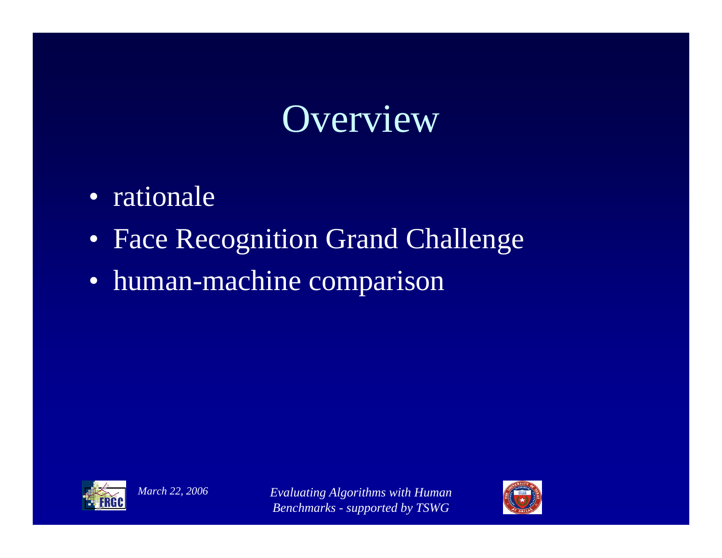### Overview

- rationale
- Face Recognition Grand Challenge
- human-machine comparison



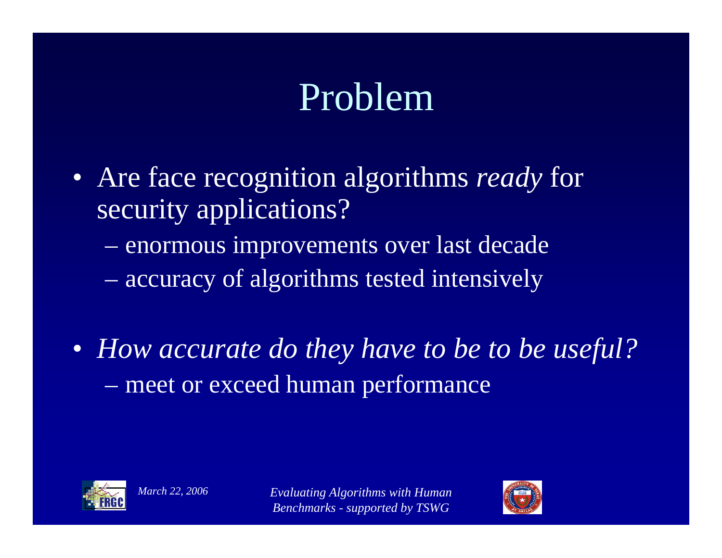# Problem

- Are face recognition algorithms *ready* for security applications?
	- enormous improvements over last decade
	- $\mathcal{L}_{\mathcal{A}}$ accuracy of algorithms tested intensively
- *How accurate do they have to be to be useful?*  $\mathcal{L}_{\mathcal{A}}$ meet or exceed human performance



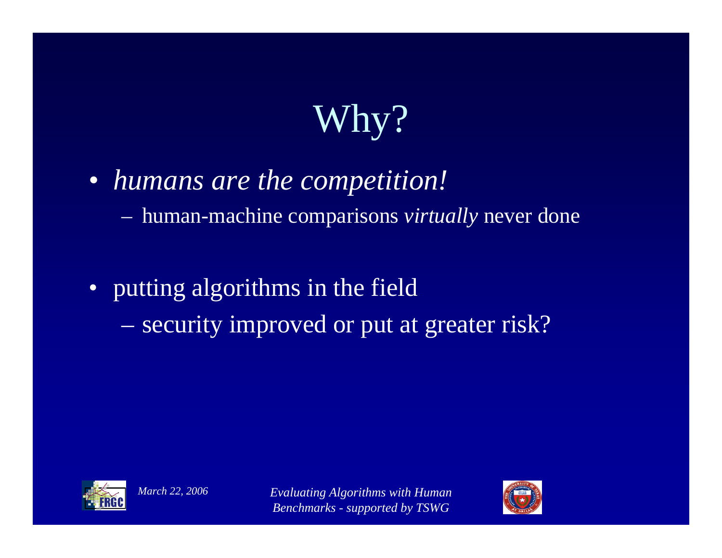# Why?

• *humans are the competition!*

human-machine comparisons *virtually* never done

- putting algorithms in the field
	- $\mathcal{L}_{\mathcal{A}}$ – security improved or put at greater risk?



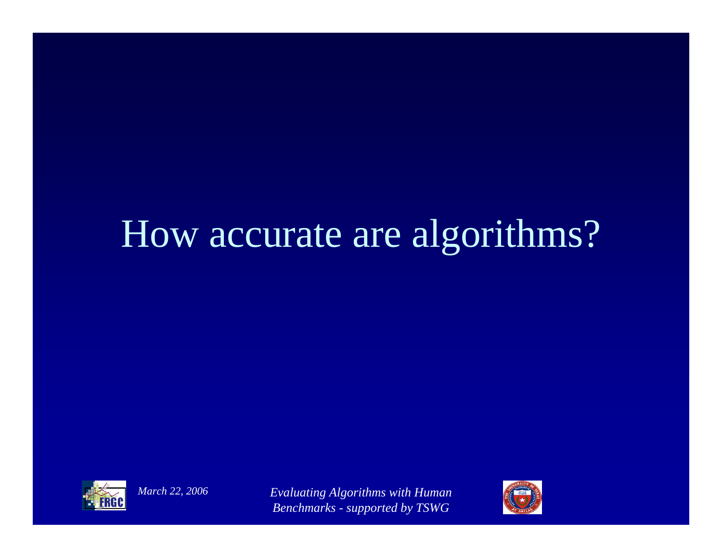### How accurate are algorithms?



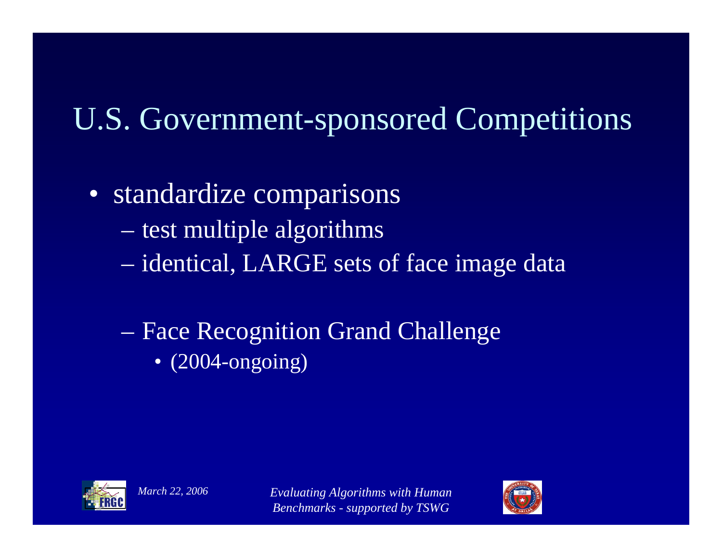### U.S. Government-sponsored Competitions

- standardize comparisons
	- $-$  test multiple algorithms
	- $\mathcal{L}_{\mathcal{A}}$ identical, LARGE sets of face image data
	- Face Recognition Grand Challenge
		- (2004-ongoing)



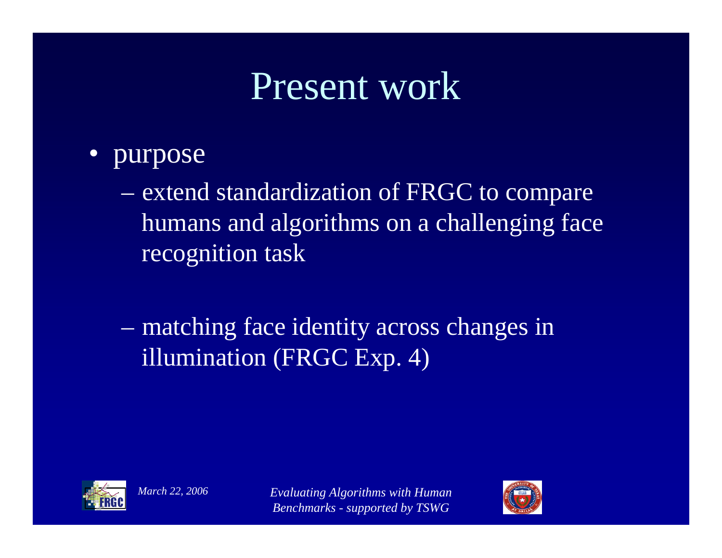### Present work

- $\bullet$  purpose
	- extend standardization of FRGC to compare humans and algorithms on a challenging face recognition task
	- $\mathcal{L}_{\mathcal{A}}$  matching face identity across changes in illumination (FRGC Exp. 4)



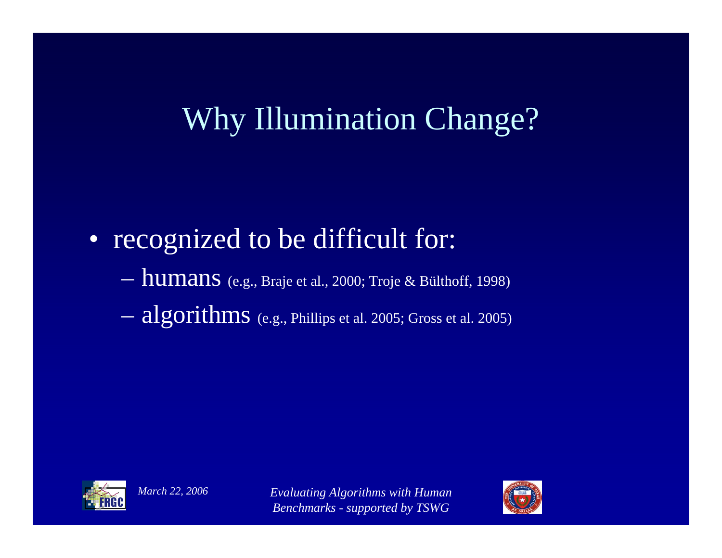### Why Illumination Change?

- • recognized to be difficult for:
	- $\,rm{humas} \,$  (e.g., Braje et al., 2000; Troje & Bülthoff, 1998)
	- $\operatorname{algorithms}$  (e.g., Phillips et al. 2005; Gross et al. 2005)



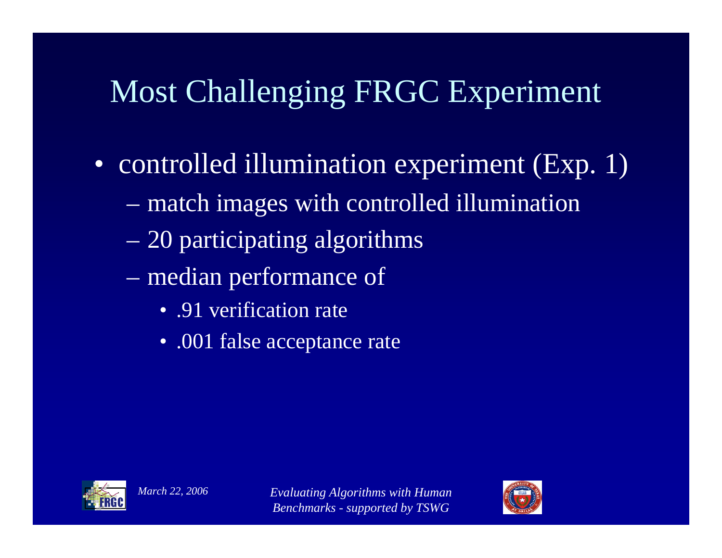### Most Challenging FRGC Experiment

- controlled illumination experiment (Exp. 1)
	- match images with controlled illumination
	- $\mathcal{L}_{\mathcal{A}}$ 20 participating algorithms
	- $\mathcal{L}_{\mathcal{A}}$  median performance of
		- .91 verification rate
		- .001 false acceptance rate



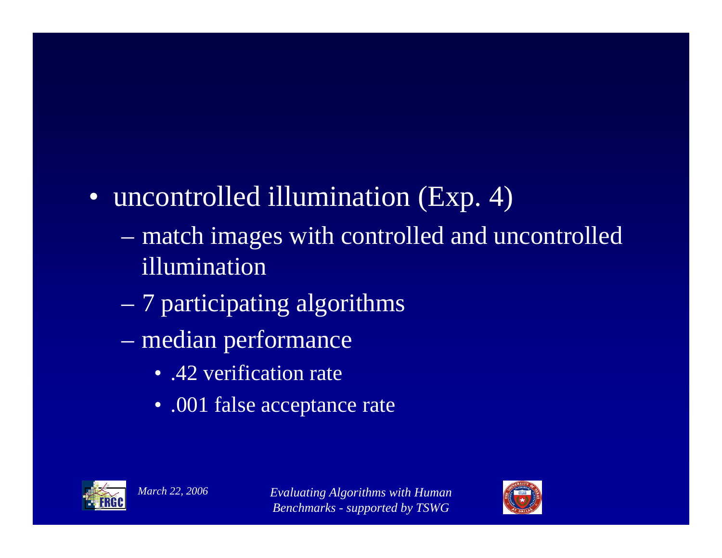- • uncontrolled illumination (Exp. 4)
	- match images with controlled and uncontrolled illumination
	- $\mathcal{L}_{\mathcal{A}}$ 7 participating algorithms
	- $\mathcal{L}_{\mathcal{A}}$  median performance
		- .42 verification rate
		- .001 false acceptance rate



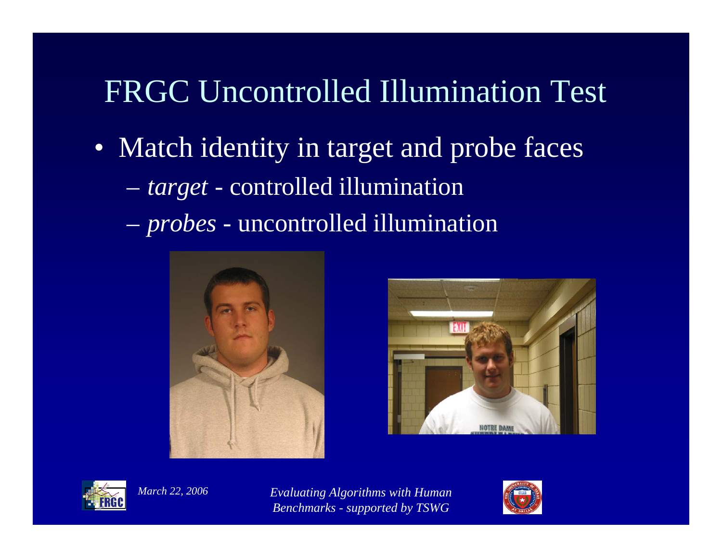### FRGC Uncontrolled Illumination Test

- Match identity in target and probe faces
	- *target* controlled illumination
	- $\mathcal{L}_{\mathcal{A}}$ *probes* - uncontrolled illumination







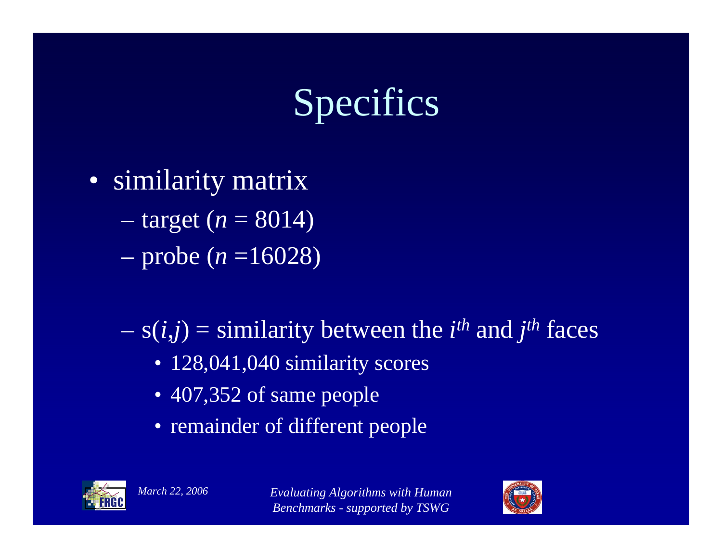# Specifics

- similarity matrix
	- target (*<sup>n</sup>* = 8014)
	- probe (*<sup>n</sup>* =16028)
	- $\mathcal{L}_{\mathcal{A}}$  $s(i,j)$  = similarity between the  $i<sup>th</sup>$  and  $j<sup>th</sup>$  faces
		- 128,041,040 similarity scores
		- 407,352 of same people
		- remainder of different people



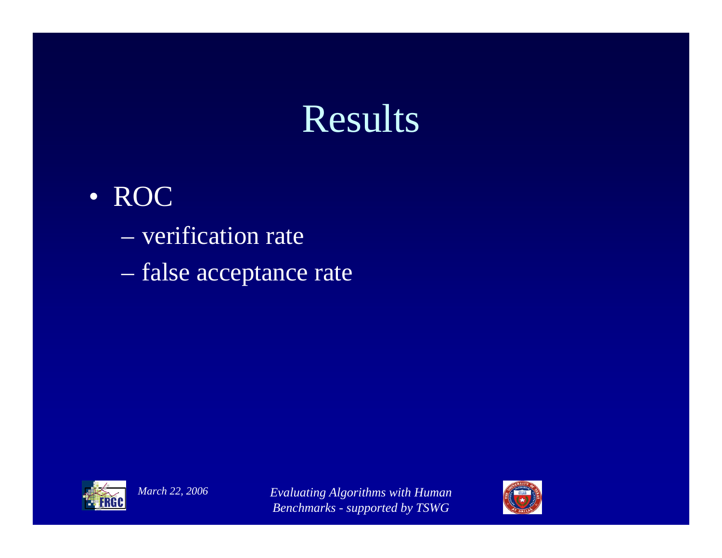### Results

#### • ROC

- verification rate
- false acceptance rate



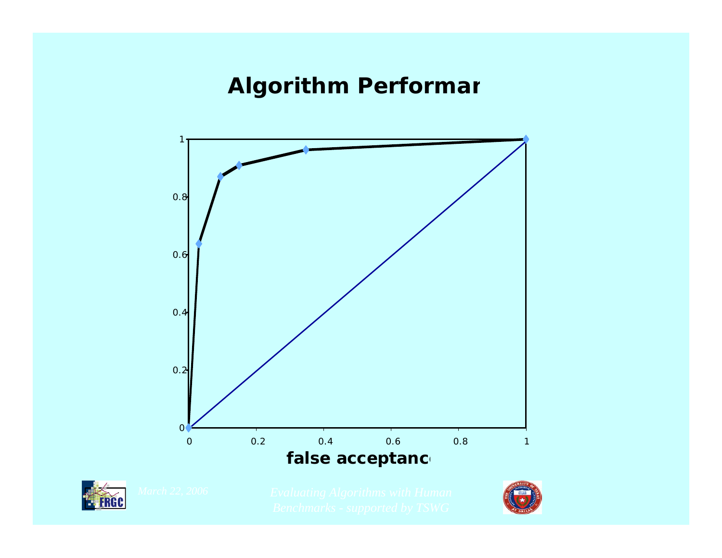#### **Algorithm Performan**





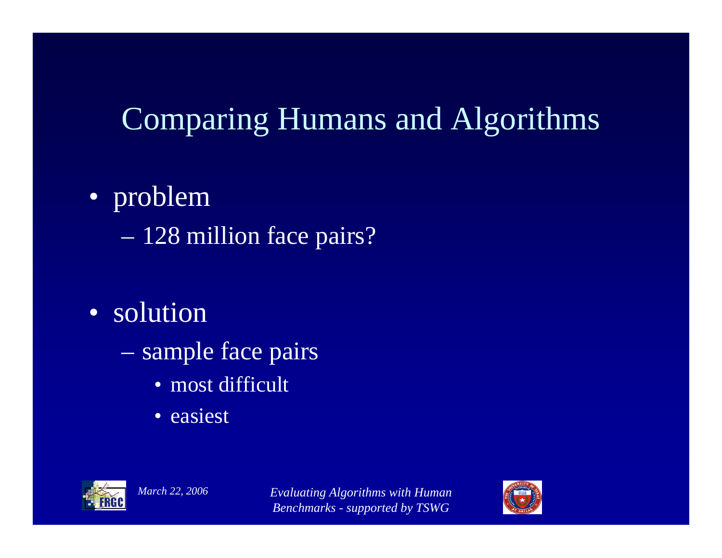### Comparing Humans and Algorithms

### • problem

128 million face pairs?

### • solution

- sample face pairs
	- most difficult
	- easiest



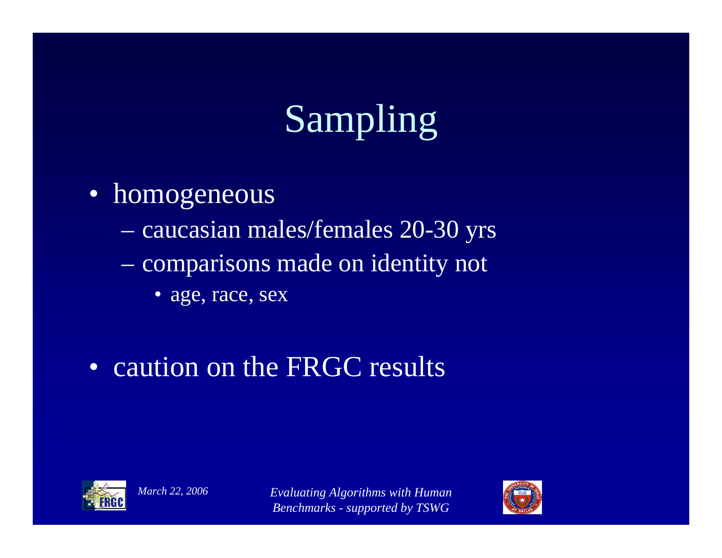# Sampling

- • homogeneous
	- caucasian males/females 20-30 yrs
	- $\mathcal{L}_{\mathcal{A}}$  comparisons made on identity not
		- age, race, sex
- caution on the FRGC results



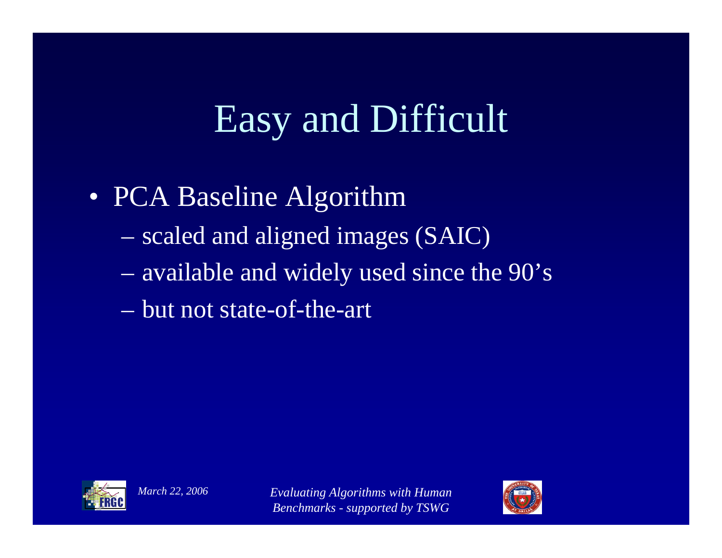## Easy and Difficult

- PCA Baseline Algorithm
	- scaled and aligned images (SAIC)
	- available and widely used since the 90's
	- but not state-of-the-art



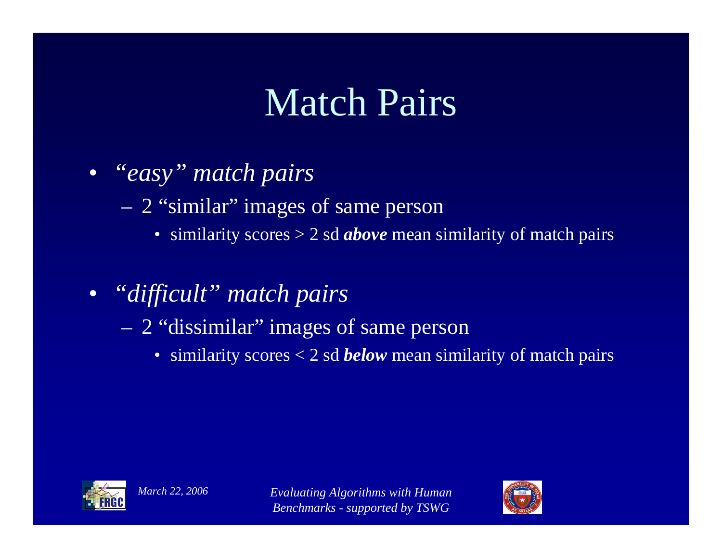### Match Pairs

- *"easy" match pairs*
	- 2 "similar" images of same person
		- similarity scores > 2 sd *above* mean similarity of match pairs
- *"difficult" match pairs*
	- 2 "dissimilar" images of same person
		- similarity scores < 2 sd *below* mean similarity of match pairs



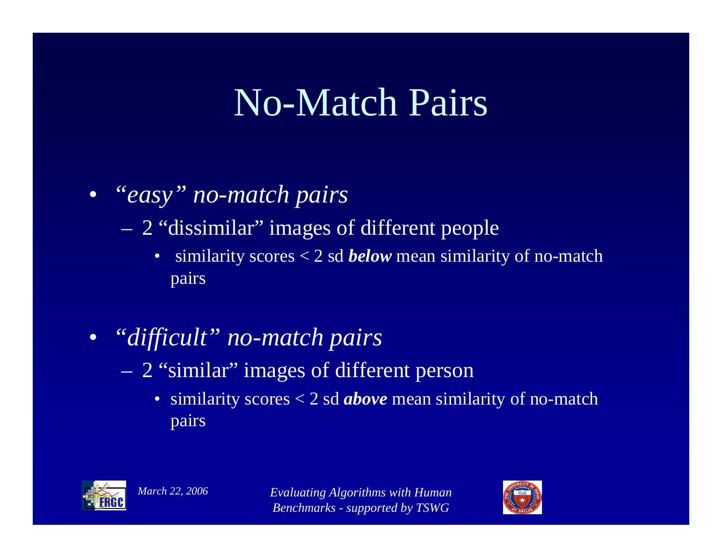### No-Match Pairs

#### • *"easy" no-match pairs*

- 2 "dissimilar" images of different people
	- $\bullet$  similarity scores < 2 sd *below* mean similarity of no-match pairs
- *"difficult" no-match pairs*
	- 2 "similar" images of different person
		- similarity scores < 2 sd *above* mean similarity of no-match pairs



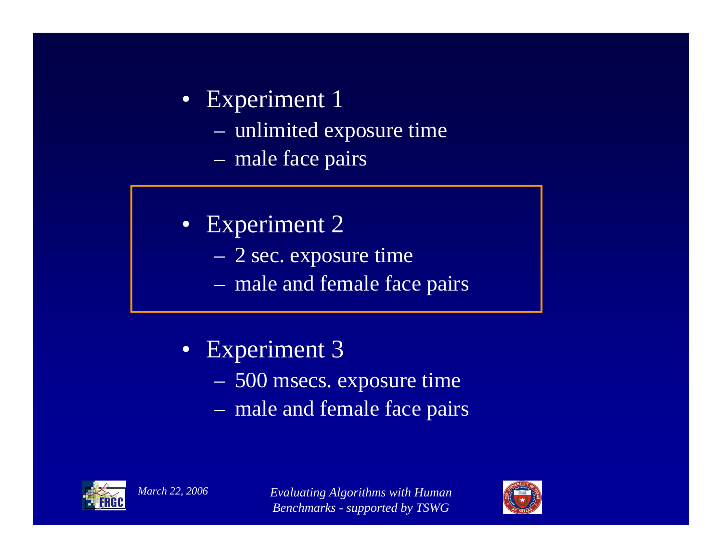#### • Experiment 1

- $\mathcal{L}_{\mathcal{A}}$ unlimited exposure time
- $\mathcal{L}_{\mathcal{A}}$ male face pairs

#### • Experiment 2

- $\mathcal{L}_{\mathcal{A}}$ 2 sec. exposure time
- $\mathcal{L}_{\mathcal{A}}$ male and female face pairs

#### • Experiment 3

- $\mathcal{L}_{\mathcal{A}}$ 500 msecs. exposure time
- <u>– Liberator Angelski, politik artistik (d. 18</u> male and female face pairs



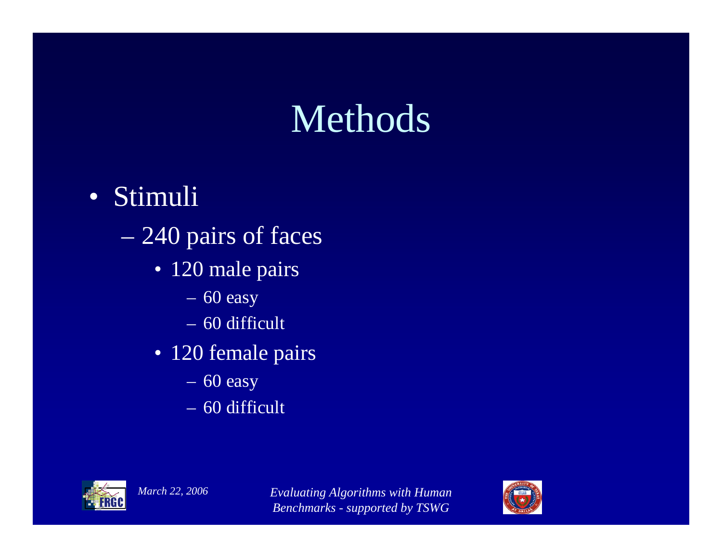### Methods

#### • Stimuli

- 240 pairs of faces
	- 120 male pairs
		- 60 easy
		- 60 difficult
	- 120 female pairs
		- 60 easy
		- 60 difficult



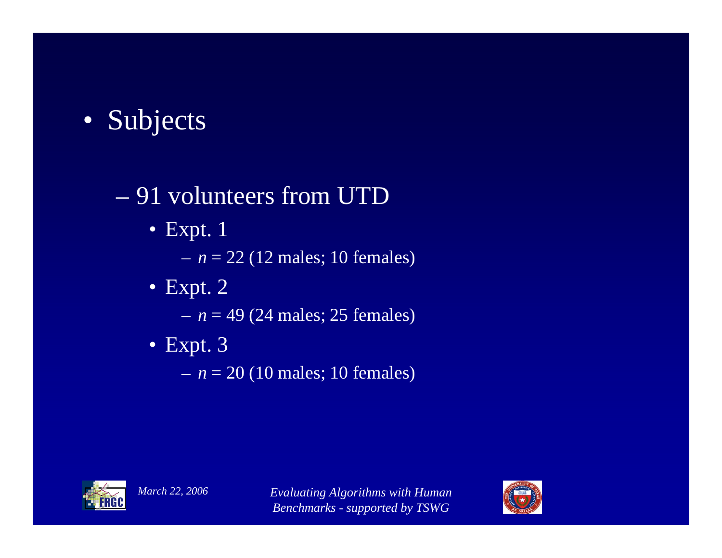### • Subjects

#### – 91 volunteers from UTD

• Expt.  $1$ 

– *<sup>n</sup>* = 22 (12 males; 10 females)

• Expt. 2

– *<sup>n</sup>* = 49 (24 males; 25 females)

• Expt. 3

– *<sup>n</sup>* = 20 (10 males; 10 females)



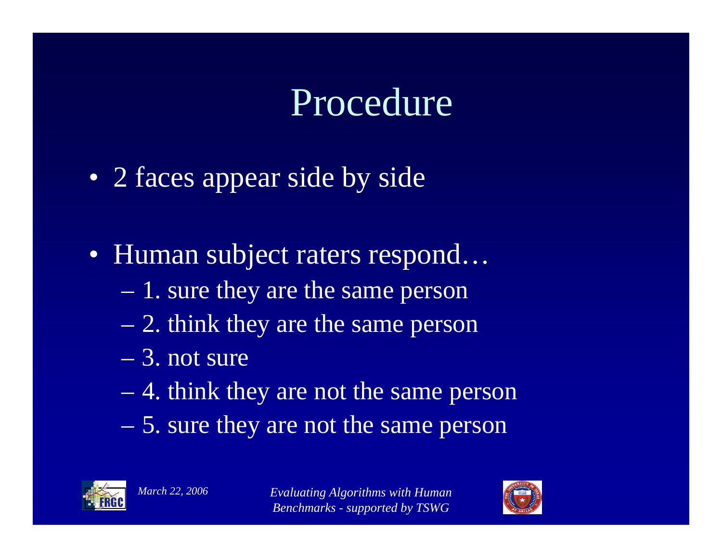### Procedure

- 2 faces appear side by side
- Human subject raters respond…
	- $\mathcal{L}_{\mathcal{A}}$ 1. sure they are the same person
	- 2. think they are the same person
	- 3. not sure
	- $\mathcal{L}_{\mathcal{A}}$ 4. think they are not the same person
	- 5. sure they are not the same person



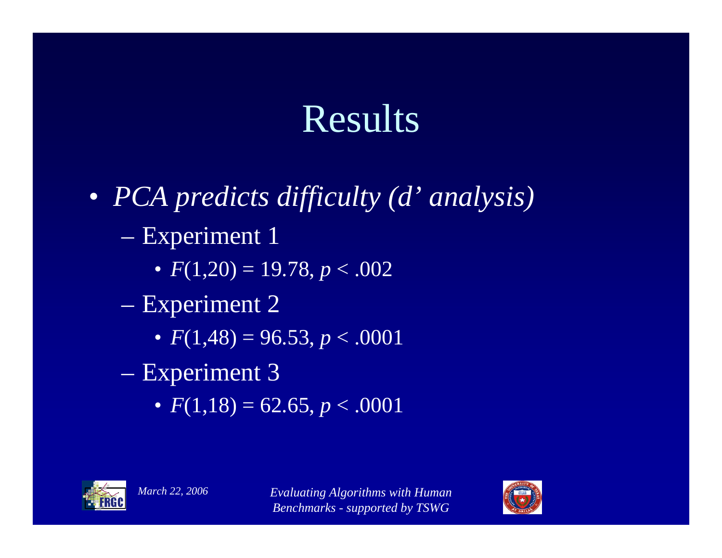### Results

- *PCA predicts difficulty (d' analysis)* – Experiment 1 • *F*(1,20) = 19.78, *p* < .002 – Experiment 2 • *F*(1,48) = 96.53, *p* < .0001 – Experiment 3
	- *F*(1,18) = 62.65, *p* < .0001



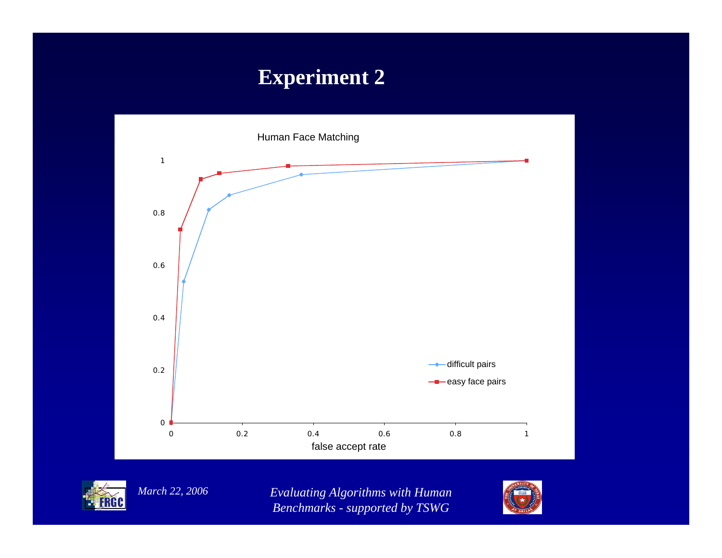#### **Experiment 2**





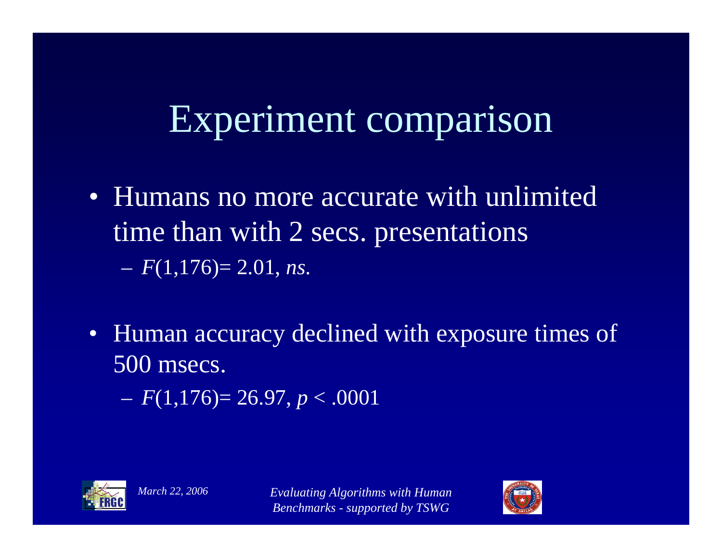### Experiment comparison

- Humans no more accurate with unlimited time than with 2 secs. presentations *F*(1,176)= 2.01, *ns*.
- Human accuracy declined with exposure times of 500 msecs.
	- *F*(1,176)= 26.97, *p* < .0001



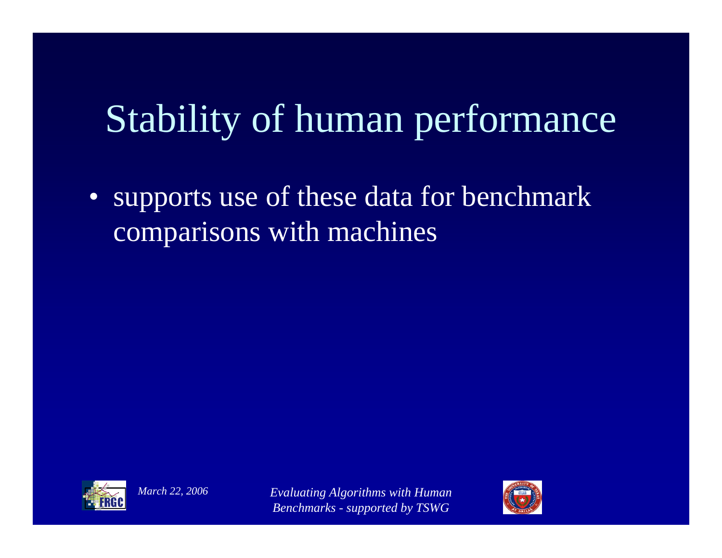# Stability of human performance

• supports use of these data for benchmark comparisons with machines



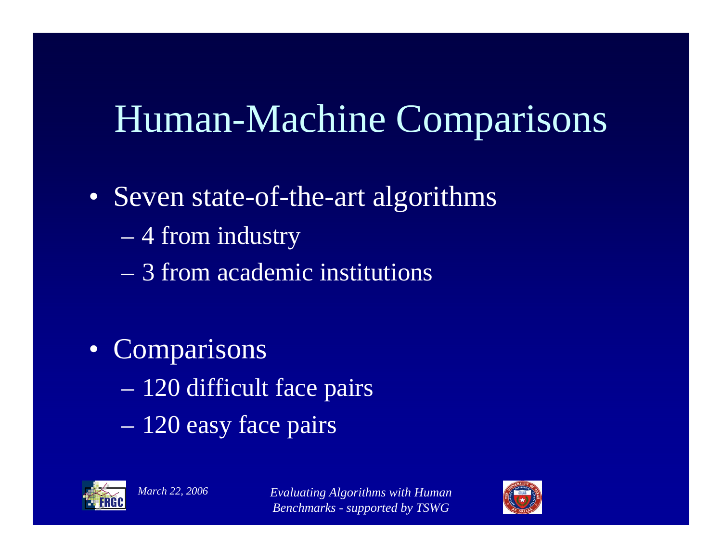## Human-Machine Comparisons

- Seven state-of-the-art algorithms
	- 4 from industry
	- 3 from academic institutions
- Comparisons
	- 120 difficult face pairs
	- 120 easy face pairs



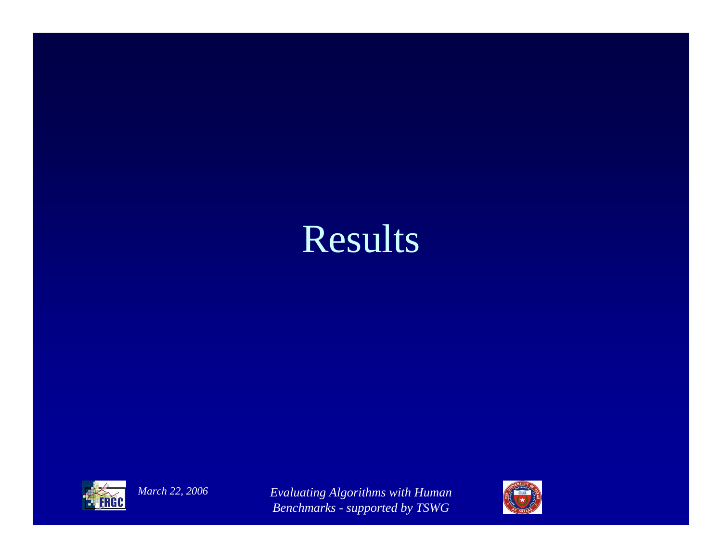### Results



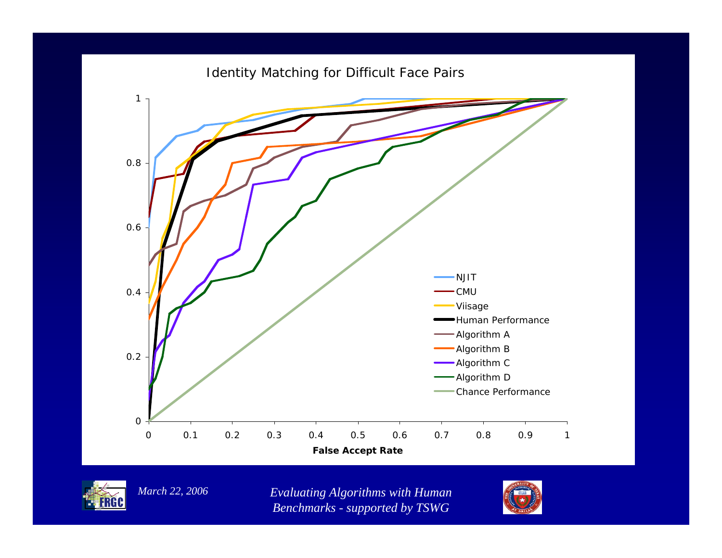#### Identity Matching for Difficult Face Pairs





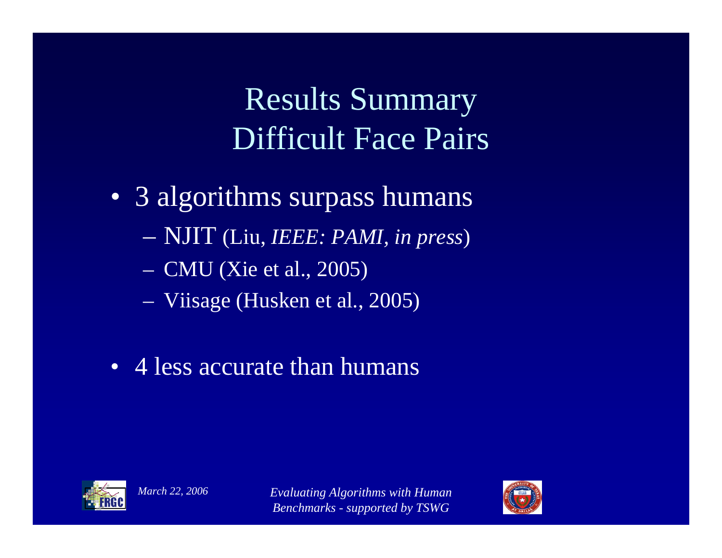### Results Summary Difficult Face Pairs

- 3 algorithms surpass humans
	- NJIT (Liu, *IEEE: PAMI, in press*)
	- CMU (Xie et al., 2005)
	- Viisage (Husken et al., 2005)
- 4 less accurate than humans



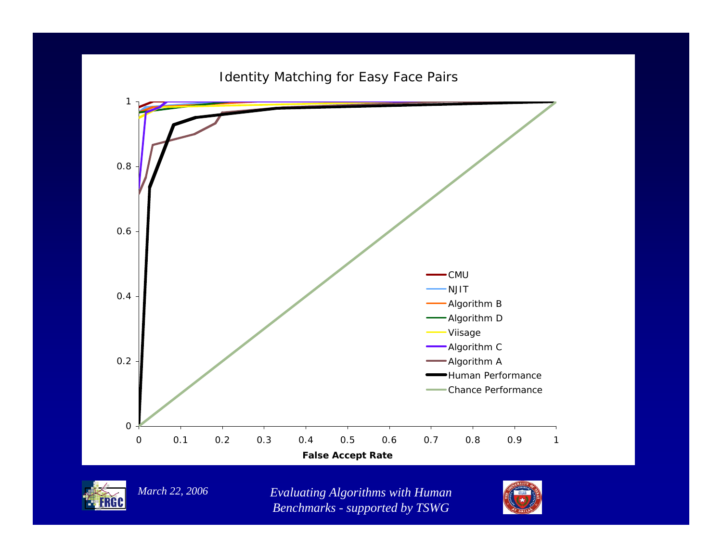Identity Matching for Easy Face Pairs





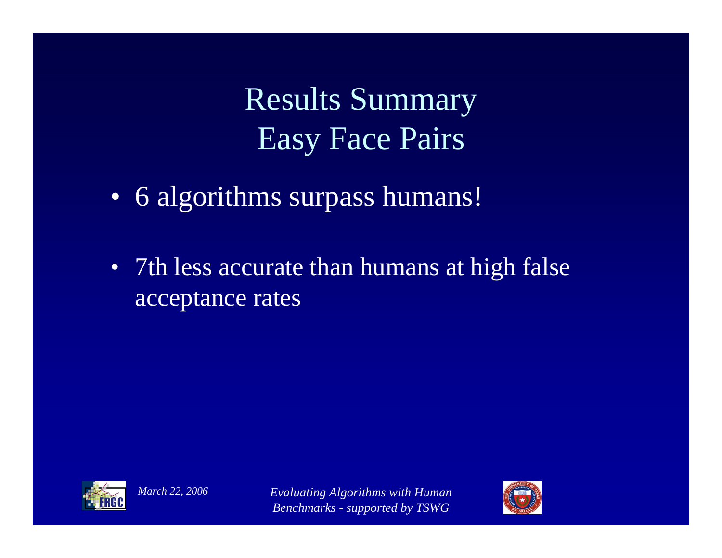Results Summary Easy Face Pairs

- 6 algorithms surpass humans!
- 7th less accurate than humans at high false acceptance rates



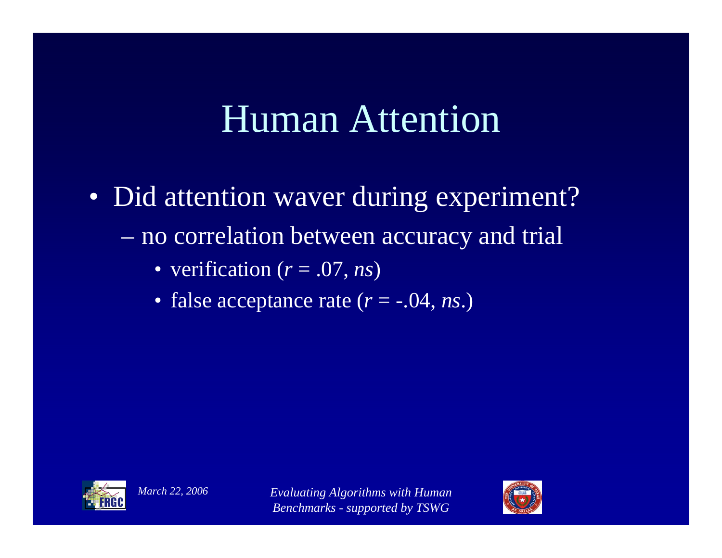### Human Attention

- Did attention waver during experiment? no correlation between accuracy and trial
	- verification (*<sup>r</sup>* = .07, *ns*)
	- false acceptance rate (*r* = -.04, *ns*.)



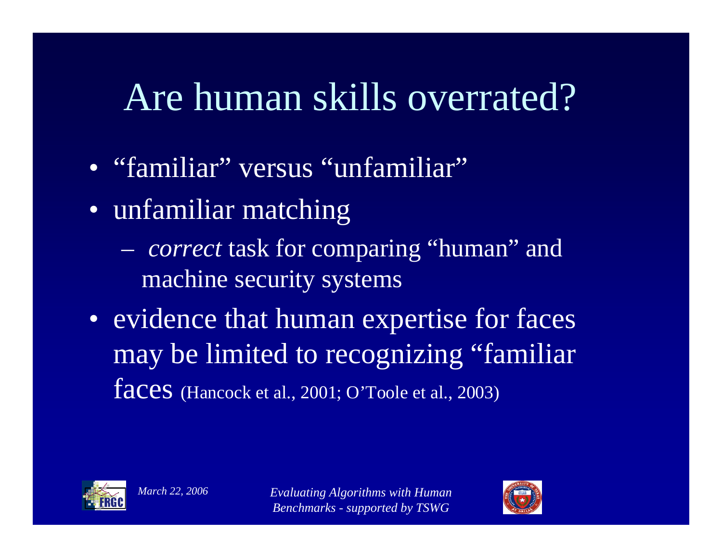# Are human skills overrated?

- "familiar" versus "unfamiliar"
- unfamiliar matching
	- $\mathcal{L}_{\mathcal{A}}$  *correct* task for comparing "human" and machine security systems
- evidence that human expertise for faces may be limited to recognizing "familiar faces (Hancock et al., 2001; O'Toole et al., 2003)



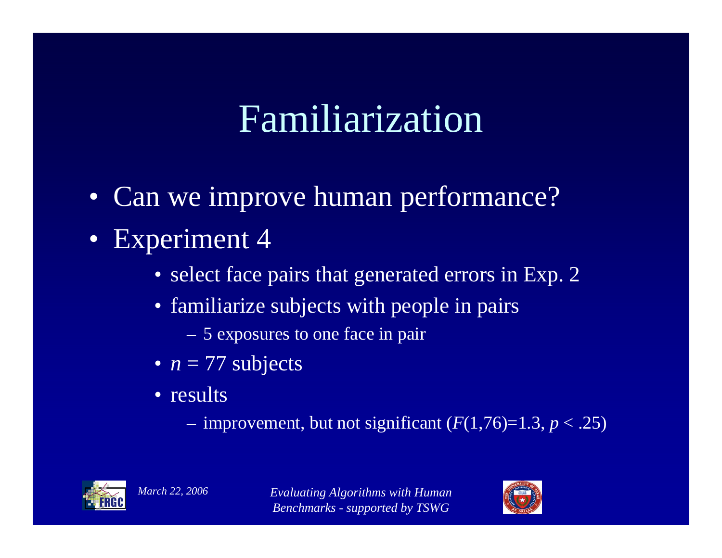### Familiarization

- Can we improve human performance?
- Experiment 4
	- select face pairs that generated errors in Exp. 2
	- familiarize subjects with people in pairs
		- 5 exposures to one face in pair
	- $n = 77$  subjects
	- results
		- $-$  improvement, but not significant  $(F(1,76)=1.3, p < .25)$



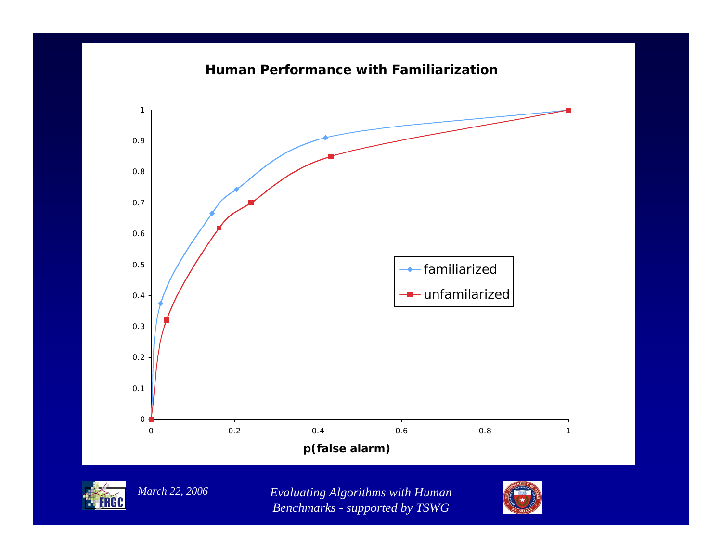#### **Human Performance with Familiarization**





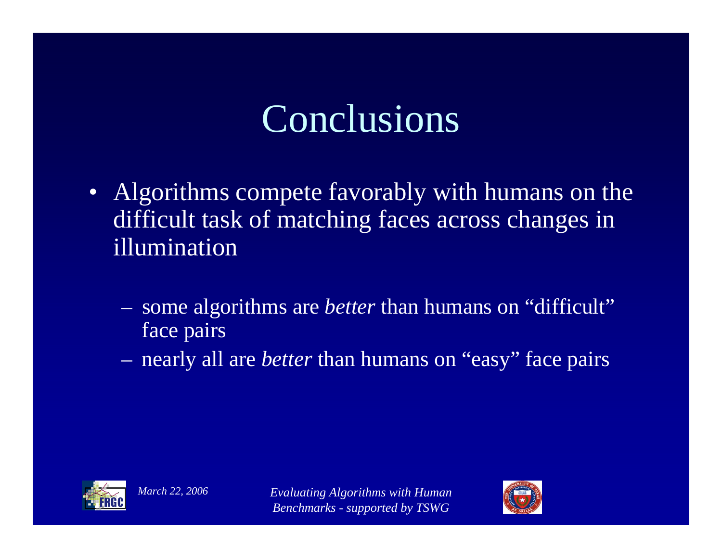### Conclusions

- Algorithms compete favorably with humans on the difficult task of matching faces across changes in illumination
	- some algorithms are *better* than humans on "difficult" face pairs
	- nearly all are *better* than humans on "easy" face pairs



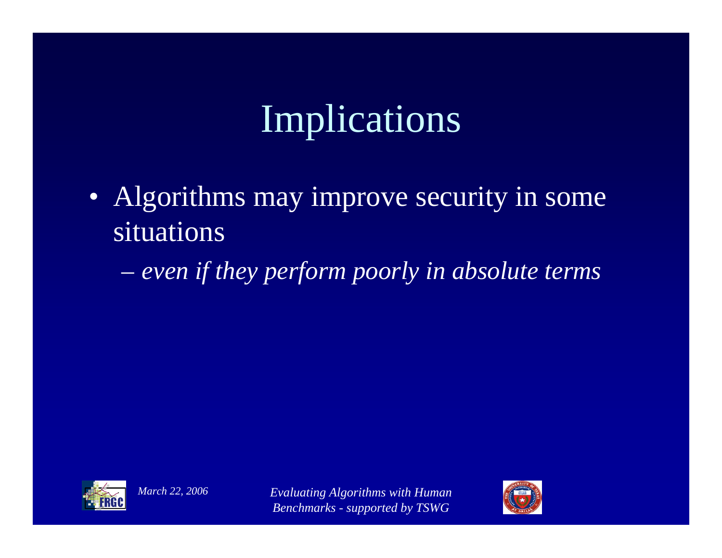# Implications

- Algorithms may improve security in some situations
	- *even if they perform poorly in absolute terms*



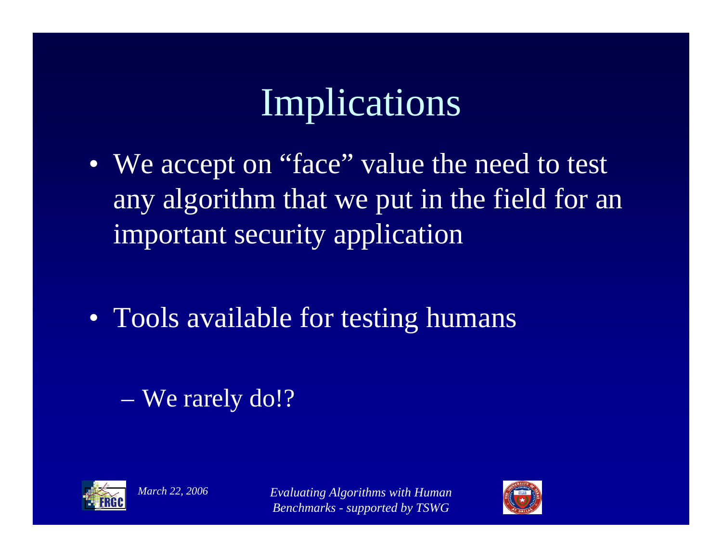# Implications

• We accept on "face" value the need to test any algorithm that we put in the field for an important security application

• Tools available for testing humans

#### $\mathcal{L}_{\mathcal{A}}$ We rarely do!?



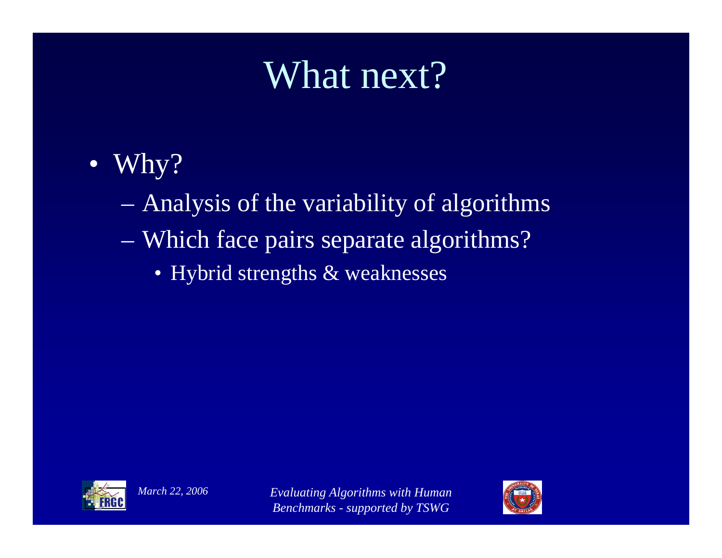### What next?

- Why?
	- Analysis of the variability of algorithms
	- $\mathcal{L}_{\mathcal{A}}$  Which face pairs separate algorithms?
		- Hybrid strengths & weaknesses